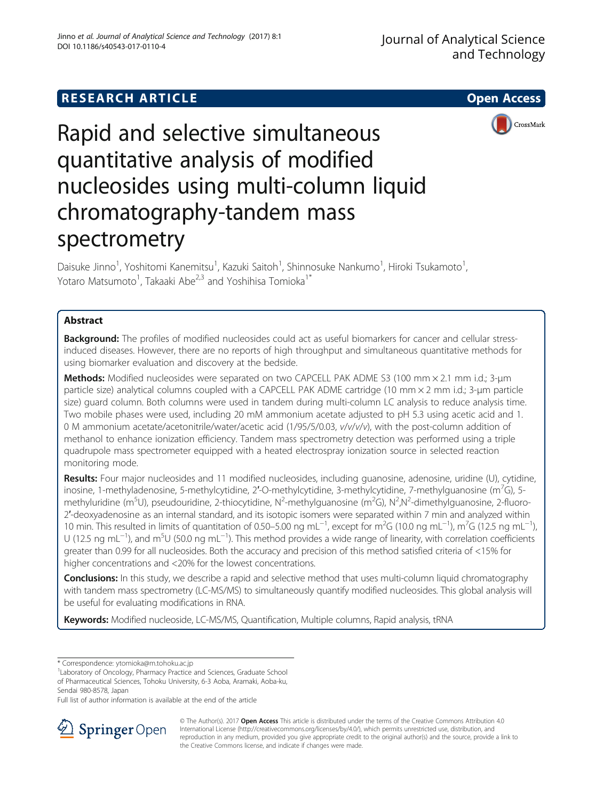# **RESEARCH ARTICLE Example 2014 12:30 The SEAR CH ACCESS**



Rapid and selective simultaneous quantitative analysis of modified nucleosides using multi-column liquid chromatography-tandem mass spectrometry

Daisuke Jinno<sup>1</sup>, Yoshitomi Kanemitsu<sup>1</sup>, Kazuki Saitoh<sup>1</sup>, Shinnosuke Nankumo<sup>1</sup>, Hiroki Tsukamoto<sup>1</sup> , Yotaro Matsumoto<sup>1</sup>, Takaaki Abe<sup>2,3</sup> and Yoshihisa Tomioka<sup>1\*</sup>

## Abstract

**Background:** The profiles of modified nucleosides could act as useful biomarkers for cancer and cellular stressinduced diseases. However, there are no reports of high throughput and simultaneous quantitative methods for using biomarker evaluation and discovery at the bedside.

Methods: Modified nucleosides were separated on two CAPCELL PAK ADME S3 (100 mm  $\times$  2.1 mm i.d.; 3-um particle size) analytical columns coupled with a CAPCELL PAK ADME cartridge (10 mm × 2 mm i.d.; 3-μm particle size) guard column. Both columns were used in tandem during multi-column LC analysis to reduce analysis time. Two mobile phases were used, including 20 mM ammonium acetate adjusted to pH 5.3 using acetic acid and 1. 0 M ammonium acetate/acetonitrile/water/acetic acid (1/95/5/0.03, v/v/v/v), with the post-column addition of methanol to enhance ionization efficiency. Tandem mass spectrometry detection was performed using a triple quadrupole mass spectrometer equipped with a heated electrospray ionization source in selected reaction monitoring mode.

Results: Four major nucleosides and 11 modified nucleosides, including guanosine, adenosine, uridine (U), cytidine, inosine, 1-methyladenosine, 5-methylcytidine, 2'-O-methylcytidine, 3-methylcytidine, 7-methylguanosine (m<sup>7</sup>G), 5methyluridine (m<sup>5</sup>U), pseudouridine, 2-thiocytidine, N<sup>2</sup>-methylguanosine (m<sup>2</sup>G), N<sup>2</sup>,N<sup>2</sup>-dimethylguanosine, 2-fluoro-2′-deoxyadenosine as an internal standard, and its isotopic isomers were separated within 7 min and analyzed within 10 min. This resulted in limits of quantitation of 0.50–5.00 ng mL<sup>-1</sup>, except for m<sup>2</sup>G (10.0 ng mL<sup>-1</sup>), m<sup>7</sup>G (12.5 ng mL<sup>-1</sup>), U (12.5 ng mL<sup>-1</sup>), and m<sup>5</sup>U (50.0 ng mL<sup>-1</sup>). This method provides a wide range of linearity, with correlation coefficients greater than 0.99 for all nucleosides. Both the accuracy and precision of this method satisfied criteria of <15% for higher concentrations and <20% for the lowest concentrations.

Conclusions: In this study, we describe a rapid and selective method that uses multi-column liquid chromatography with tandem mass spectrometry (LC-MS/MS) to simultaneously quantify modified nucleosides. This global analysis will be useful for evaluating modifications in RNA.

Keywords: Modified nucleoside, LC-MS/MS, Quantification, Multiple columns, Rapid analysis, tRNA

Sendai 980-8578, Japan

Full list of author information is available at the end of the article



© The Author(s). 2017 **Open Access** This article is distributed under the terms of the Creative Commons Attribution 4.0 International License ([http://creativecommons.org/licenses/by/4.0/\)](http://creativecommons.org/licenses/by/4.0/), which permits unrestricted use, distribution, and reproduction in any medium, provided you give appropriate credit to the original author(s) and the source, provide a link to the Creative Commons license, and indicate if changes were made.

<sup>\*</sup> Correspondence: [ytomioka@m.tohoku.ac.jp](mailto:ytomioka@m.tohoku.ac.jp) <sup>1</sup>

<sup>&</sup>lt;sup>1</sup> Laboratory of Oncology, Pharmacy Practice and Sciences, Graduate School of Pharmaceutical Sciences, Tohoku University, 6-3 Aoba, Aramaki, Aoba-ku,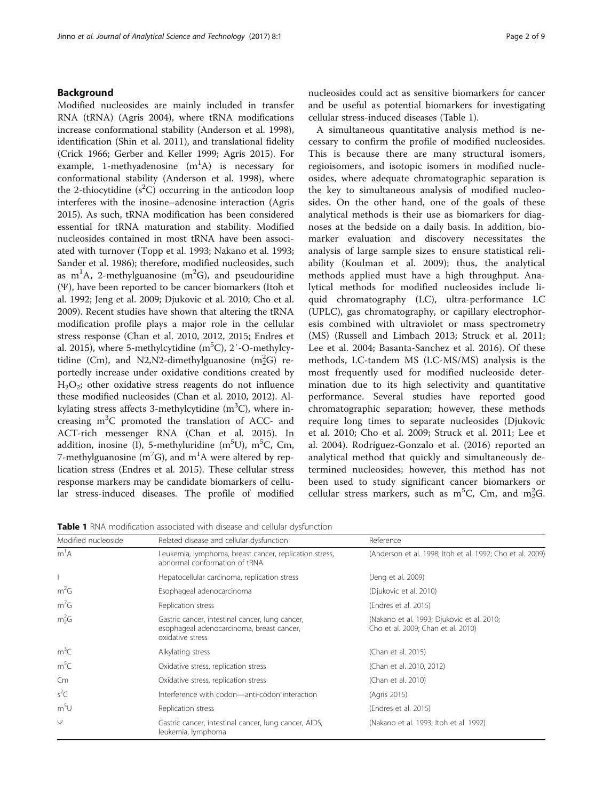## Background

Modified nucleosides are mainly included in transfer RNA (tRNA) (Agris [2004\)](#page-7-0), where tRNA modifications increase conformational stability (Anderson et al. [1998](#page-7-0)), identification (Shin et al. [2011\)](#page-8-0), and translational fidelity (Crick [1966](#page-7-0); Gerber and Keller [1999](#page-8-0); Agris [2015\)](#page-7-0). For example, 1-methyadenosine  $(m^1A)$  is necessary for conformational stability (Anderson et al. [1998\)](#page-7-0), where the 2-thiocytidine  $(s^2C)$  occurring in the anticodon loop interferes with the inosine–adenosine interaction (Agris [2015](#page-7-0)). As such, tRNA modification has been considered essential for tRNA maturation and stability. Modified nucleosides contained in most tRNA have been associated with turnover (Topp et al. [1993](#page-8-0); Nakano et al. [1993](#page-8-0); Sander et al. [1986\)](#page-8-0); therefore, modified nucleosides, such as m<sup>1</sup>A, 2-methylguanosine (m<sup>2</sup>G), and pseudouridine (Ψ), have been reported to be cancer biomarkers (Itoh et al. [1992;](#page-8-0) Jeng et al. [2009](#page-8-0); Djukovic et al. [2010](#page-7-0); Cho et al. [2009](#page-7-0)). Recent studies have shown that altering the tRNA modification profile plays a major role in the cellular stress response (Chan et al. [2010, 2012](#page-7-0), [2015](#page-7-0); Endres et al. [2015\)](#page-7-0), where 5-methylcytidine (m<sup>5</sup>C), 2'-O-methylcytidine (Cm), and N2, N2-dimethylguanosine  $(m_2^2G)$  reportedly increase under oxidative conditions created by  $H<sub>2</sub>O<sub>2</sub>$ ; other oxidative stress reagents do not influence these modified nucleosides (Chan et al. [2010](#page-7-0), [2012\)](#page-7-0). Alkylating stress affects 3-methylcytidine  $(m^3C)$ , where increasing  $m^3C$  promoted the translation of ACC- and ACT-rich messenger RNA (Chan et al. [2015](#page-7-0)). In addition, inosine (I), 5-methyluridine (m $^{5}$ U), m $^{5}$ C, Cm, 7-methylguanosine (m<sup>7</sup>G), and m<sup>1</sup>A were altered by replication stress (Endres et al. [2015\)](#page-7-0). These cellular stress response markers may be candidate biomarkers of cellular stress-induced diseases. The profile of modified nucleosides could act as sensitive biomarkers for cancer and be useful as potential biomarkers for investigating cellular stress-induced diseases (Table 1).

A simultaneous quantitative analysis method is necessary to confirm the profile of modified nucleosides. This is because there are many structural isomers, regioisomers, and isotopic isomers in modified nucleosides, where adequate chromatographic separation is the key to simultaneous analysis of modified nucleosides. On the other hand, one of the goals of these analytical methods is their use as biomarkers for diagnoses at the bedside on a daily basis. In addition, biomarker evaluation and discovery necessitates the analysis of large sample sizes to ensure statistical reliability (Koulman et al. [2009](#page-8-0)); thus, the analytical methods applied must have a high throughput. Analytical methods for modified nucleosides include liquid chromatography (LC), ultra-performance LC (UPLC), gas chromatography, or capillary electrophoresis combined with ultraviolet or mass spectrometry (MS) (Russell and Limbach [2013;](#page-8-0) Struck et al. [2011](#page-8-0); Lee et al. [2004](#page-8-0); Basanta-Sanchez et al. [2016](#page-7-0)). Of these methods, LC-tandem MS (LC-MS/MS) analysis is the most frequently used for modified nucleoside determination due to its high selectivity and quantitative performance. Several studies have reported good chromatographic separation; however, these methods require long times to separate nucleosides (Djukovic et al. [2010](#page-7-0); Cho et al. [2009](#page-7-0); Struck et al. [2011;](#page-8-0) Lee et al. [2004](#page-8-0)). Rodríguez-Gonzalo et al. [\(2016](#page-8-0)) reported an analytical method that quickly and simultaneously determined nucleosides; however, this method has not been used to study significant cancer biomarkers or cellular stress markers, such as m<sup>5</sup>C, Cm, and m<sub>2</sub>G.

**Table 1** RNA modification associated with disease and cellular dysfunction

| Modified nucleoside | Related disease and cellular dysfunction                                                                         | Reference                                                                        |
|---------------------|------------------------------------------------------------------------------------------------------------------|----------------------------------------------------------------------------------|
| m <sup>1</sup> A    | Leukemia, lymphoma, breast cancer, replication stress,<br>abnormal conformation of tRNA                          | (Anderson et al. 1998; Itoh et al. 1992; Cho et al. 2009)                        |
|                     | Hepatocellular carcinoma, replication stress                                                                     | (Jeng et al. 2009)                                                               |
| $m^2G$              | Esophageal adenocarcinoma                                                                                        | (Djukovic et al. 2010)                                                           |
| m <sup>7</sup> G    | Replication stress                                                                                               | (Endres et al. 2015)                                                             |
| $m_2^2G$            | Gastric cancer, intestinal cancer, lung cancer,<br>esophageal adenocarcinoma, breast cancer,<br>oxidative stress | (Nakano et al. 1993; Djukovic et al. 2010;<br>Cho et al. 2009; Chan et al. 2010) |
| $m^3C$              | Alkylating stress                                                                                                | (Chan et al. 2015)                                                               |
| $m^5C$              | Oxidative stress, replication stress                                                                             | (Chan et al. 2010, 2012)                                                         |
| Cm                  | Oxidative stress, replication stress                                                                             | (Chan et al. 2010)                                                               |
| $s^2C$              | Interference with codon-anti-codon interaction                                                                   | (Agris 2015)                                                                     |
| m <sup>5</sup> U    | Replication stress                                                                                               | (Endres et al. 2015)                                                             |
| Ψ                   | Gastric cancer, intestinal cancer, lung cancer, AIDS,<br>leukemia, lymphoma                                      | (Nakano et al. 1993; Itoh et al. 1992)                                           |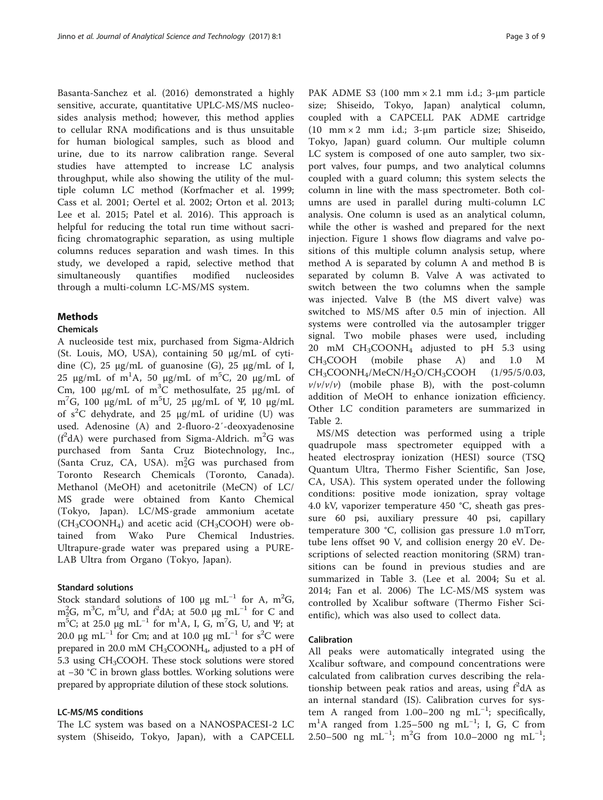Basanta-Sanchez et al. [\(2016](#page-7-0)) demonstrated a highly sensitive, accurate, quantitative UPLC-MS/MS nucleosides analysis method; however, this method applies to cellular RNA modifications and is thus unsuitable for human biological samples, such as blood and urine, due to its narrow calibration range. Several studies have attempted to increase LC analysis throughput, while also showing the utility of the multiple column LC method (Korfmacher et al. [1999](#page-8-0); Cass et al. [2001](#page-7-0); Oertel et al. [2002](#page-8-0); Orton et al. [2013](#page-8-0); Lee et al. [2015](#page-8-0); Patel et al. [2016\)](#page-8-0). This approach is helpful for reducing the total run time without sacrificing chromatographic separation, as using multiple columns reduces separation and wash times. In this study, we developed a rapid, selective method that simultaneously quantifies modified nucleosides through a multi-column LC-MS/MS system.

## Methods

## Chemicals

A nucleoside test mix, purchased from Sigma-Aldrich (St. Louis, MO, USA), containing 50 μg/mL of cytidine (C), 25 μg/mL of guanosine (G), 25 μg/mL of I, 25 μg/mL of m<sup>1</sup>A, 50 μg/mL of m<sup>5</sup>C, 20 μg/mL of Cm, 100  $\mu$ g/mL of m<sup>3</sup>C methosulfate, 25  $\mu$ g/mL of m<sup>7</sup>G, 100 μg/mL of m<sup>5</sup>U, 25 μg/mL of Ψ, 10 μg/mL of  $s^2C$  dehydrate, and 25  $\mu$ g/mL of uridine (U) was used. Adenosine (A) and 2-fluoro-2′-deoxyadenosine  $(f^2dA)$  were purchased from Sigma-Aldrich. m<sup>2</sup>G was purchased from Santa Cruz Biotechnology, Inc., (Santa Cruz, CA, USA).  $m_2^2G$  was purchased from Toronto Research Chemicals (Toronto, Canada). Methanol (MeOH) and acetonitrile (MeCN) of LC/ MS grade were obtained from Kanto Chemical (Tokyo, Japan). LC/MS-grade ammonium acetate  $(CH_3COONH_4)$  and acetic acid (CH<sub>3</sub>COOH) were obtained from Wako Pure Chemical Industries. Ultrapure-grade water was prepared using a PURE-LAB Ultra from Organo (Tokyo, Japan).

## Standard solutions

Stock standard solutions of 100  $\mu$ g mL<sup>-1</sup> for A, m<sup>2</sup>G, m<sup>2</sup><sub>2</sub>G, m<sup>3</sup>C, m<sup>5</sup>U, and f<sup>2</sup>dA; at 50.0 μg mL<sup>-1</sup> for C and m<sup>5</sup>C; at 25.0 μg mL<sup>-1</sup> for m<sup>1</sup>A, I, G, m<sup>7</sup>G, U, and Ψ; at 20.0 μg mL<sup>-1</sup> for Cm; and at 10.0 μg mL<sup>-1</sup> for s<sup>2</sup>C were prepared in 20.0 mM  $CH<sub>3</sub>COONH<sub>4</sub>$ , adjusted to a pH of 5.3 using CH<sub>3</sub>COOH. These stock solutions were stored at −30 °C in brown glass bottles. Working solutions were prepared by appropriate dilution of these stock solutions.

## LC-MS/MS conditions

The LC system was based on a NANOSPACESI-2 LC system (Shiseido, Tokyo, Japan), with a CAPCELL

PAK ADME S3 (100 mm × 2.1 mm i.d.; 3-μm particle size; Shiseido, Tokyo, Japan) analytical column, coupled with a CAPCELL PAK ADME cartridge (10 mm × 2 mm i.d.; 3-μm particle size; Shiseido, Tokyo, Japan) guard column. Our multiple column LC system is composed of one auto sampler, two sixport valves, four pumps, and two analytical columns coupled with a guard column; this system selects the column in line with the mass spectrometer. Both columns are used in parallel during multi-column LC analysis. One column is used as an analytical column, while the other is washed and prepared for the next injection. Figure [1](#page-3-0) shows flow diagrams and valve positions of this multiple column analysis setup, where method A is separated by column A and method B is separated by column B. Valve A was activated to switch between the two columns when the sample was injected. Valve B (the MS divert valve) was switched to MS/MS after 0.5 min of injection. All systems were controlled via the autosampler trigger signal. Two mobile phases were used, including 20 mM  $CH_3COONH_4$  adjusted to pH 5.3 using  $CH<sub>3</sub>COOH$  (mobile phase A) and 1.0 M  $CH<sub>3</sub>COONH<sub>4</sub>/MeCN/H<sub>2</sub>O/CH<sub>3</sub>COOH$  (1/95/5/0.03,  $v/v/v/v)$  (mobile phase B), with the post-column addition of MeOH to enhance ionization efficiency. Other LC condition parameters are summarized in Table [2](#page-4-0).

MS/MS detection was performed using a triple quadrupole mass spectrometer equipped with a heated electrospray ionization (HESI) source (TSQ Quantum Ultra, Thermo Fisher Scientific, San Jose, CA, USA). This system operated under the following conditions: positive mode ionization, spray voltage 4.0 kV, vaporizer temperature 450 °C, sheath gas pressure 60 psi, auxiliary pressure 40 psi, capillary temperature 300 °C, collision gas pressure 1.0 mTorr, tube lens offset 90 V, and collision energy 20 eV. Descriptions of selected reaction monitoring (SRM) transitions can be found in previous studies and are summarized in Table [3](#page-4-0). (Lee et al. [2004;](#page-8-0) Su et al. [2014;](#page-8-0) Fan et al. [2006](#page-7-0)) The LC-MS/MS system was controlled by Xcalibur software (Thermo Fisher Scientific), which was also used to collect data.

## Calibration

All peaks were automatically integrated using the Xcalibur software, and compound concentrations were calculated from calibration curves describing the relationship between peak ratios and areas, using  $f^2dA$  as an internal standard (IS). Calibration curves for system A ranged from 1.00-200 ng mL<sup>-1</sup>; specifically, m<sup>1</sup>A ranged from 1.25-500 ng mL<sup>-1</sup>; I, G, C from 2.50–500 ng mL<sup>-1</sup>; m<sup>2</sup>G from 10.0–2000 ng mL<sup>-1</sup>;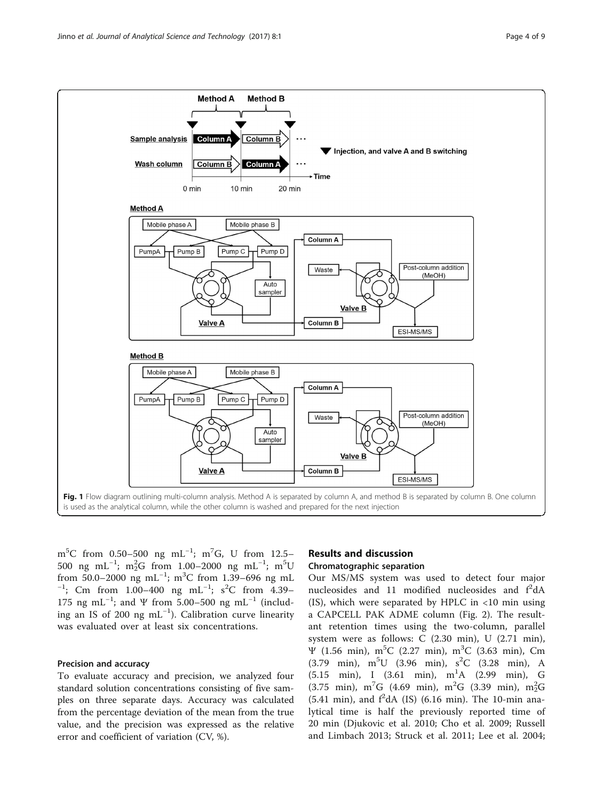<span id="page-3-0"></span>

 $\rm m^5C$  from 0.50–500 ng  $\rm mL^{-1}$ ;  $\rm m^7G$ , U from 12.5– 500 ng mL<sup>-1</sup>; m<sup>2</sup><sub>2</sub>G from 1.00–2000 ng mL<sup>-1</sup>; m<sup>5</sup>U from 50.0–2000 ng mL<sup>-1</sup>; m<sup>3</sup>C from 1.39–696 ng mL<br><sup>-1</sup>: Cm, from 1.00, 400, ng mL<sup>-1</sup>: s<sup>2</sup>C from 4.39 ; Cm from 1.00–400 ng mL<sup>-1</sup>; s<sup>2</sup>C from 4.39– 175 ng mL<sup>-1</sup>; and Ψ from 5.00–500 ng mL<sup>-1</sup> (including an IS of 200 ng mL−<sup>1</sup> ). Calibration curve linearity was evaluated over at least six concentrations.

## Precision and accuracy

To evaluate accuracy and precision, we analyzed four standard solution concentrations consisting of five samples on three separate days. Accuracy was calculated from the percentage deviation of the mean from the true value, and the precision was expressed as the relative error and coefficient of variation (CV, %).

## Results and discussion

### Chromatographic separation

Our MS/MS system was used to detect four major nucleosides and 11 modified nucleosides and  $f^2dA$  $(IS)$ , which were separated by HPLC in <10 min using a CAPCELL PAK ADME column (Fig. [2](#page-5-0)). The resultant retention times using the two-column, parallel system were as follows: C (2.30 min), U (2.71 min),  $\Psi$  (1.56 min), m<sup>5</sup>C (2.27 min), m<sup>3</sup>C (3.63 min), Cm  $(3.79 \text{ min})$ ,  $m^5U$   $(3.96 \text{ min})$ ,  $s^2C$   $(3.28 \text{ min})$ , A  $(5.15 \text{ min})$ , I  $(3.61 \text{ min})$ ,  $m^1A$   $(2.99 \text{ min})$ , G  $(3.75 \text{ min})$ , m<sup>7</sup>G  $(4.69 \text{ min})$ , m<sup>2</sup>G  $(3.39 \text{ min})$ , m<sub>2</sub><sup>2</sup>G  $(5.41 \text{ min})$ , and  $f^2$ dA (IS)  $(6.16 \text{ min})$ . The 10-min analytical time is half the previously reported time of 20 min (Djukovic et al. [2010;](#page-7-0) Cho et al. [2009](#page-7-0); Russell and Limbach [2013](#page-8-0); Struck et al. [2011;](#page-8-0) Lee et al. [2004](#page-8-0);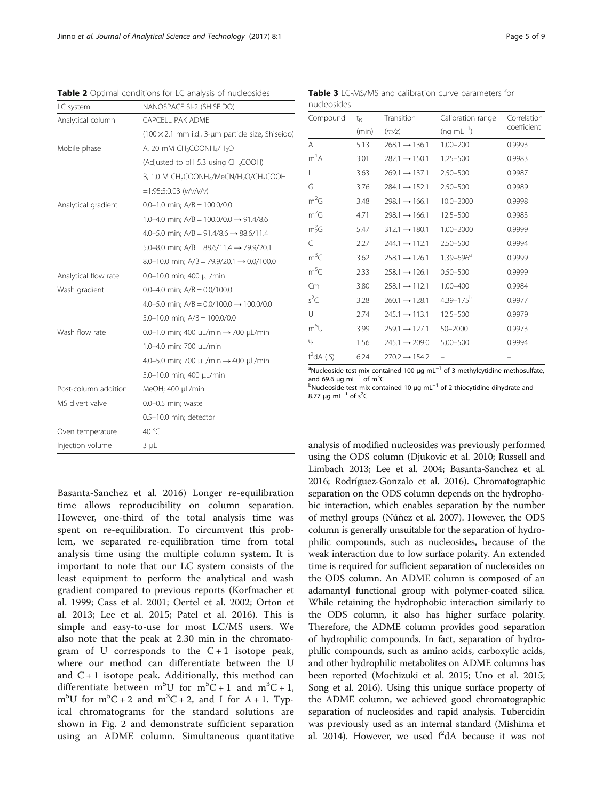| LC system            | NANOSPACE SI-2 (SHISEIDO)                                     |  |  |  |
|----------------------|---------------------------------------------------------------|--|--|--|
| Analytical column    | CAPCELL PAK ADME                                              |  |  |  |
|                      | $(100 \times 2.1$ mm i.d., 3-um particle size, Shiseido)      |  |  |  |
| Mobile phase         | A, 20 mM CH <sub>3</sub> COONH <sub>4</sub> /H <sub>2</sub> O |  |  |  |
|                      | (Adjusted to pH 5.3 using CH3COOH)                            |  |  |  |
|                      | B, 1.0 M CH3COONH4/MeCN/H2O/CH3COOH                           |  |  |  |
|                      | $=1:95:5:0.03$ (v/v/v/v)                                      |  |  |  |
| Analytical gradient  | $0.0-1.0$ min; $A/B = 100.0/0.0$                              |  |  |  |
|                      | 1.0-4.0 min; $A/B = 100.0/0.0 \rightarrow 91.4/8.6$           |  |  |  |
|                      | 4.0-5.0 min; $A/B = 91.4/8.6 \rightarrow 88.6/11.4$           |  |  |  |
|                      | 5.0–8.0 min; $A/B = 88.6/11.4 \rightarrow 79.9/20.1$          |  |  |  |
|                      | 8.0-10.0 min; $A/B = 79.9/20.1 \rightarrow 0.0/100.0$         |  |  |  |
| Analytical flow rate | 0.0-10.0 min; 400 µL/min                                      |  |  |  |
| Wash gradient        | 0.0-4.0 min; $A/B = 0.0/100.0$                                |  |  |  |
|                      | 4.0-5.0 min; $A/B = 0.0/100.0 \rightarrow 100.0/0.0$          |  |  |  |
|                      | 5.0-10.0 min; $A/B = 100.0/0.0$                               |  |  |  |
| Wash flow rate       | $0.0-1.0$ min; 400 µL/min $\rightarrow$ 700 µL/min            |  |  |  |
|                      | 1.0-4.0 min: 700 µL/min                                       |  |  |  |
|                      | 4.0-5.0 min; 700 µL/min → 400 µL/min                          |  |  |  |
|                      | 5.0-10.0 min; 400 µL/min                                      |  |  |  |
| Post-column addition | MeOH; 400 µL/min                                              |  |  |  |
| MS divert valve      | $0.0 - 0.5$ min; waste                                        |  |  |  |
|                      | 0.5-10.0 min; detector                                        |  |  |  |
| Oven temperature     | 40 °C                                                         |  |  |  |
| Injection volume     | $3 \mu L$                                                     |  |  |  |

<span id="page-4-0"></span>Table 2 Optimal conditions for LC analysis of nucleosides

Basanta-Sanchez et al. [2016](#page-7-0)) Longer re-equilibration time allows reproducibility on column separation. However, one-third of the total analysis time was spent on re-equilibration. To circumvent this problem, we separated re-equilibration time from total analysis time using the multiple column system. It is important to note that our LC system consists of the least equipment to perform the analytical and wash gradient compared to previous reports (Korfmacher et al. [1999](#page-8-0); Cass et al. [2001;](#page-7-0) Oertel et al. [2002;](#page-8-0) Orton et al. [2013;](#page-8-0) Lee et al. [2015](#page-8-0); Patel et al. [2016](#page-8-0)). This is simple and easy-to-use for most LC/MS users. We also note that the peak at 2.30 min in the chromatogram of U corresponds to the  $C+1$  isotope peak, where our method can differentiate between the U and  $C + 1$  isotope peak. Additionally, this method can differentiate between  $m^5U$  for  $m^5C + 1$  and  $m^3C + 1$ ,  $m<sup>5</sup>U$  for  $m<sup>5</sup>C + 2$  and  $m<sup>3</sup>C + 2$ , and I for A + 1. Typical chromatograms for the standard solutions are shown in Fig. [2](#page-5-0) and demonstrate sufficient separation using an ADME column. Simultaneous quantitative

Table 3 LC-MS/MS and calibration curve parameters for nucleosides

| Compound         | $t_{R}$ | Transition                | Calibration range         | Correlation<br>coefficient |  |
|------------------|---------|---------------------------|---------------------------|----------------------------|--|
|                  | (min)   | (m/z)                     | $(nq \, mL^{-1})$         |                            |  |
| A                | 5.13    | $268.1 \rightarrow 136.1$ | $1.00 - 200$              | 0.9993                     |  |
| $m^1A$           | 3.01    | $282.1 \rightarrow 150.1$ | $1.25 - 500$              | 0.9983                     |  |
| L                | 3.63    | $269.1 \rightarrow 137.1$ | $2.50 - 500$              | 0.9987                     |  |
| G                | 3.76    | $284.1 \rightarrow 152.1$ | $2.50 - 500$              | 0.9989                     |  |
| $m^2G$           | 3.48    | $298.1 \rightarrow 166.1$ | $10.0 - 2000$             | 0.9998                     |  |
| $m^7G$           | 4.71    | $298.1 \rightarrow 166.1$ | $12.5 - 500$              | 0.9983                     |  |
| $m_2^2G$         | 5.47    | $312.1 \rightarrow 180.1$ | $1.00 - 2000$             | 0.9999                     |  |
| C                | 2.27    | $244.1 \rightarrow 112.1$ | $2.50 - 500$              | 0.9994                     |  |
| m <sup>3</sup> C | 3.62    | $258.1 \rightarrow 126.1$ | $1.39 - 696$ <sup>a</sup> | 0.9999                     |  |
| m <sup>5</sup> C | 2.33    | $258.1 \rightarrow 126.1$ | $0.50 - 500$              | 0.9999                     |  |
| Cm               | 3.80    | $258.1 \rightarrow 112.1$ | 1.00-400                  | 0.9984                     |  |
| $s^2C$           | 3.28    | $260.1 \rightarrow 128.1$ | $4.39 - 175^b$            | 0.9977                     |  |
| U                | 2.74    | $245.1 \rightarrow 113.1$ | $12.5 - 500$              | 0.9979                     |  |
| m <sup>5</sup> U | 3.99    | $259.1 \rightarrow 127.1$ | 50-2000                   | 0.9973                     |  |
| Ψ                | 1.56    | $245.1 \rightarrow 209.0$ | $5.00 - 500$              | 0.9994                     |  |
| $f^2dA$ (IS)     | 6.24    | $270.2 \rightarrow 154.2$ |                           |                            |  |

<sup>a</sup>Nucleoside test mix contained 100 μg mL<sup>-1</sup> of 3-methylcytidine methosulfate and 69.6 μg mL<sup>-1</sup> of m<sup>3</sup>C and 69.6 μg mL<sup>−1</sup> of m<sup>3</sup>C<br><sup>b</sup>Nucleoside test mix contained 10 μg mL<sup>−1</sup> of 2-thiocytidine dihydrate and

8.77 μg mL<sup>-1</sup> of s<sup>2</sup>C

analysis of modified nucleosides was previously performed using the ODS column (Djukovic et al. [2010](#page-7-0); Russell and Limbach [2013](#page-8-0); Lee et al. [2004](#page-8-0); Basanta-Sanchez et al. [2016;](#page-7-0) Rodríguez-Gonzalo et al. [2016](#page-8-0)). Chromatographic separation on the ODS column depends on the hydrophobic interaction, which enables separation by the number of methyl groups (Núñez et al. [2007](#page-8-0)). However, the ODS column is generally unsuitable for the separation of hydrophilic compounds, such as nucleosides, because of the weak interaction due to low surface polarity. An extended time is required for sufficient separation of nucleosides on the ODS column. An ADME column is composed of an adamantyl functional group with polymer-coated silica. While retaining the hydrophobic interaction similarly to the ODS column, it also has higher surface polarity. Therefore, the ADME column provides good separation of hydrophilic compounds. In fact, separation of hydrophilic compounds, such as amino acids, carboxylic acids, and other hydrophilic metabolites on ADME columns has been reported (Mochizuki et al. [2015;](#page-8-0) Uno et al. [2015](#page-8-0); Song et al. [2016\)](#page-8-0). Using this unique surface property of the ADME column, we achieved good chromatographic separation of nucleosides and rapid analysis. Tubercidin was previously used as an internal standard (Mishima et al. [2014](#page-8-0)). However, we used  $f^2dA$  because it was not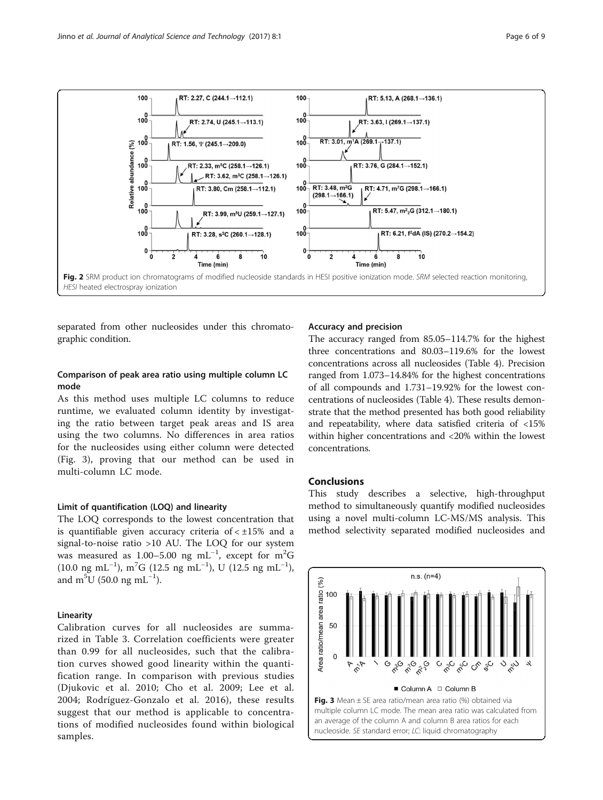<span id="page-5-0"></span>

separated from other nucleosides under this chromatographic condition.

## Comparison of peak area ratio using multiple column LC mode

As this method uses multiple LC columns to reduce runtime, we evaluated column identity by investigating the ratio between target peak areas and IS area using the two columns. No differences in area ratios for the nucleosides using either column were detected (Fig. 3), proving that our method can be used in multi-column LC mode.

## Limit of quantification (LOQ) and linearity

The LOQ corresponds to the lowest concentration that is quantifiable given accuracy criteria of  $< \pm 15\%$  and a signal-to-noise ratio >10 AU. The LOQ for our system was measured as 1.00-5.00 ng mL<sup>-1</sup>, except for m<sup>2</sup>G  $(10.0 \text{ ng } \text{mL}^{-1})$ , m<sup>7</sup>G  $(12.5 \text{ ng } \text{mL}^{-1})$ , U  $(12.5 \text{ ng } \text{mL}^{-1})$ , and  $m^5$ U (50.0 ng mL<sup>-1</sup>).

#### Linearity

Calibration curves for all nucleosides are summarized in Table [3.](#page-4-0) Correlation coefficients were greater than 0.99 for all nucleosides, such that the calibration curves showed good linearity within the quantification range. In comparison with previous studies (Djukovic et al. [2010;](#page-7-0) Cho et al. [2009](#page-7-0); Lee et al. [2004](#page-8-0); Rodríguez-Gonzalo et al. [2016](#page-8-0)), these results suggest that our method is applicable to concentrations of modified nucleosides found within biological samples.

#### Accuracy and precision

The accuracy ranged from 85.05–114.7% for the highest three concentrations and 80.03–119.6% for the lowest concentrations across all nucleosides (Table [4\)](#page-6-0). Precision ranged from 1.073–14.84% for the highest concentrations of all compounds and 1.731–19.92% for the lowest concentrations of nucleosides (Table [4\)](#page-6-0). These results demonstrate that the method presented has both good reliability and repeatability, where data satisfied criteria of <15% within higher concentrations and <20% within the lowest concentrations.

## Conclusions

This study describes a selective, high-throughput method to simultaneously quantify modified nucleosides using a novel multi-column LC-MS/MS analysis. This method selectivity separated modified nucleosides and

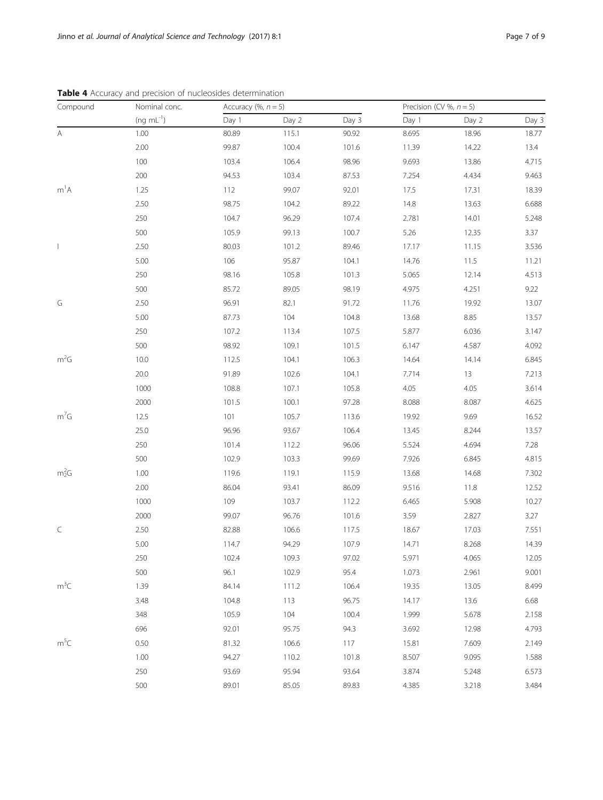<span id="page-6-0"></span>

| Compound                 | Nominal conc.     | Accuracy (%, $n = 5$ ) |       |       | Precision (CV %, $n = 5$ ) |                                                                                                                                                                                                                                                                                              |       |
|--------------------------|-------------------|------------------------|-------|-------|----------------------------|----------------------------------------------------------------------------------------------------------------------------------------------------------------------------------------------------------------------------------------------------------------------------------------------|-------|
|                          | $(ng \, mL^{-1})$ | Day 1                  | Day 2 | Day 3 | Day 1                      | Day 2                                                                                                                                                                                                                                                                                        | Day 3 |
| Α                        | 1.00              | 80.89                  | 115.1 | 90.92 | 8.695                      | 18.96                                                                                                                                                                                                                                                                                        | 18.77 |
|                          | 2.00              | 99.87                  | 100.4 | 101.6 | 11.39                      | 14.22                                                                                                                                                                                                                                                                                        | 13.4  |
|                          | 100               | 103.4                  | 106.4 | 98.96 | 9.693                      | 13.86                                                                                                                                                                                                                                                                                        | 4.715 |
|                          | 200               | 94.53                  | 103.4 | 87.53 | 7.254                      | 4.434                                                                                                                                                                                                                                                                                        | 9.463 |
| m <sup>1</sup> A         | 1.25              | 112                    | 99.07 | 92.01 | 17.5                       | 17.31<br>13.63<br>14.01<br>12.35<br>11.15<br>11.5<br>12.14<br>4.251<br>19.92<br>8.85<br>6.036<br>4.587<br>14.14<br>13<br>4.05<br>8.087<br>9.69<br>8.244<br>4.694<br>6.845<br>14.68<br>11.8<br>5.908<br>2.827<br>17.03<br>8.268<br>4.065<br>2.961<br>13.05<br>13.6<br>5.678<br>12.98<br>7.609 | 18.39 |
|                          | 2.50              | 98.75                  | 104.2 | 89.22 | 14.8                       |                                                                                                                                                                                                                                                                                              | 6.688 |
|                          | 250               | 104.7                  | 96.29 | 107.4 | 2.781                      |                                                                                                                                                                                                                                                                                              | 5.248 |
|                          | 500               | 105.9                  | 99.13 | 100.7 | 5.26                       |                                                                                                                                                                                                                                                                                              | 3.37  |
| $\overline{\phantom{a}}$ | 2.50              | 80.03                  | 101.2 | 89.46 | 17.17                      |                                                                                                                                                                                                                                                                                              | 3.536 |
|                          | 5.00              | 106                    | 95.87 | 104.1 | 14.76                      |                                                                                                                                                                                                                                                                                              | 11.21 |
|                          | 250               | 98.16                  | 105.8 | 101.3 | 5.065                      |                                                                                                                                                                                                                                                                                              | 4.513 |
|                          | 500               | 85.72                  | 89.05 | 98.19 | 4.975                      |                                                                                                                                                                                                                                                                                              | 9.22  |
| G                        | 2.50              | 96.91                  | 82.1  | 91.72 | 11.76                      |                                                                                                                                                                                                                                                                                              | 13.07 |
|                          | 5.00              | 87.73                  | 104   | 104.8 | 13.68                      |                                                                                                                                                                                                                                                                                              | 13.57 |
|                          | 250               | 107.2                  | 113.4 | 107.5 | 5.877                      |                                                                                                                                                                                                                                                                                              | 3.147 |
|                          | 500               | 98.92                  | 109.1 | 101.5 | 6.147                      |                                                                                                                                                                                                                                                                                              | 4.092 |
| $m^2G$                   | 10.0              | 112.5                  | 104.1 | 106.3 | 14.64                      |                                                                                                                                                                                                                                                                                              | 6.845 |
|                          | 20.0              | 91.89                  | 102.6 | 104.1 | 7.714                      |                                                                                                                                                                                                                                                                                              | 7.213 |
|                          | 1000              | 108.8                  | 107.1 | 105.8 | 4.05                       |                                                                                                                                                                                                                                                                                              | 3.614 |
|                          | 2000              | 101.5                  | 100.1 | 97.28 | 8.088                      |                                                                                                                                                                                                                                                                                              | 4.625 |
| $m^7G$                   | 12.5              | 101                    | 105.7 | 113.6 | 19.92                      |                                                                                                                                                                                                                                                                                              | 16.52 |
|                          | 25.0              | 96.96                  | 93.67 | 106.4 | 13.45                      |                                                                                                                                                                                                                                                                                              | 13.57 |
|                          | 250               | 101.4                  | 112.2 | 96.06 | 5.524                      |                                                                                                                                                                                                                                                                                              | 7.28  |
|                          | 500               | 102.9                  | 103.3 | 99.69 | 7.926                      |                                                                                                                                                                                                                                                                                              | 4.815 |
| $m_2^2G$                 | 1.00              | 119.6                  | 119.1 | 115.9 | 13.68                      |                                                                                                                                                                                                                                                                                              | 7.302 |
|                          | 2.00              | 86.04                  | 93.41 | 86.09 | 9.516                      |                                                                                                                                                                                                                                                                                              | 12.52 |
|                          | 1000              | 109                    | 103.7 | 112.2 | 6.465                      |                                                                                                                                                                                                                                                                                              | 10.27 |
|                          | 2000              | 99.07                  | 96.76 | 101.6 | 3.59                       |                                                                                                                                                                                                                                                                                              | 3.27  |
| C                        | 2.50              | 82.88                  | 106.6 | 117.5 | 18.67                      |                                                                                                                                                                                                                                                                                              | 7.551 |
|                          | 5.00              | 114.7                  | 94.29 | 107.9 | 14.71                      |                                                                                                                                                                                                                                                                                              | 14.39 |
|                          | 250               | 102.4                  | 109.3 | 97.02 | 5.971                      |                                                                                                                                                                                                                                                                                              | 12.05 |
|                          | 500               | 96.1                   | 102.9 | 95.4  | 1.073                      |                                                                                                                                                                                                                                                                                              | 9.001 |
| $m^3C$                   | 1.39              | 84.14                  | 111.2 | 106.4 | 19.35                      |                                                                                                                                                                                                                                                                                              | 8.499 |
|                          | 3.48              | 104.8                  | 113   | 96.75 | 14.17                      |                                                                                                                                                                                                                                                                                              | 6.68  |
|                          | 348               | 105.9                  | 104   | 100.4 | 1.999                      |                                                                                                                                                                                                                                                                                              | 2.158 |
|                          | 696               | 92.01                  | 95.75 | 94.3  | 3.692                      |                                                                                                                                                                                                                                                                                              | 4.793 |
| $m^5C$                   | 0.50              | 81.32                  | 106.6 | 117   | 15.81                      |                                                                                                                                                                                                                                                                                              | 2.149 |
|                          | 1.00              | 94.27                  | 110.2 | 101.8 | 8.507                      | 9.095                                                                                                                                                                                                                                                                                        | 1.588 |
|                          |                   |                        |       |       |                            |                                                                                                                                                                                                                                                                                              |       |

250 93.69 95.94 93.64 3.874 5.248 6.573 500 89.01 85.05 89.83 4.385 3.218 3.484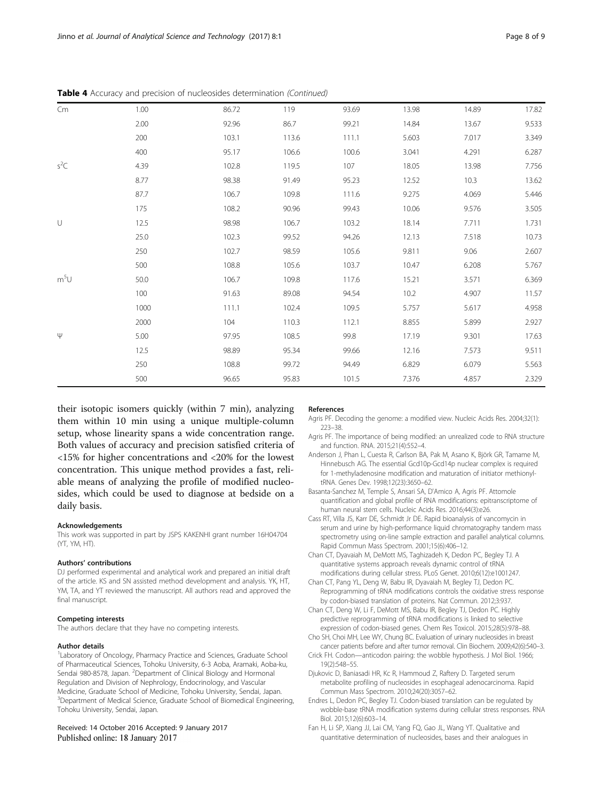| Cm               | 1.00 | 86.72 | 119   | 93.69 | 13.98 | 14.89 | 17.82 |
|------------------|------|-------|-------|-------|-------|-------|-------|
|                  | 2.00 | 92.96 | 86.7  | 99.21 | 14.84 | 13.67 | 9.533 |
|                  | 200  | 103.1 | 113.6 | 111.1 | 5.603 | 7.017 | 3.349 |
|                  | 400  | 95.17 | 106.6 | 100.6 | 3.041 | 4.291 | 6.287 |
| $s^2C$           | 4.39 | 102.8 | 119.5 | 107   | 18.05 | 13.98 | 7.756 |
|                  | 8.77 | 98.38 | 91.49 | 95.23 | 12.52 | 10.3  | 13.62 |
|                  | 87.7 | 106.7 | 109.8 | 111.6 | 9.275 | 4.069 | 5.446 |
|                  | 175  | 108.2 | 90.96 | 99.43 | 10.06 | 9.576 | 3.505 |
| $\cup$           | 12.5 | 98.98 | 106.7 | 103.2 | 18.14 | 7.711 | 1.731 |
|                  | 25.0 | 102.3 | 99.52 | 94.26 | 12.13 | 7.518 | 10.73 |
|                  | 250  | 102.7 | 98.59 | 105.6 | 9.811 | 9.06  | 2.607 |
|                  | 500  | 108.8 | 105.6 | 103.7 | 10.47 | 6.208 | 5.767 |
| m <sup>5</sup> U | 50.0 | 106.7 | 109.8 | 117.6 | 15.21 | 3.571 | 6.369 |
|                  | 100  | 91.63 | 89.08 | 94.54 | 10.2  | 4.907 | 11.57 |
|                  | 1000 | 111.1 | 102.4 | 109.5 | 5.757 | 5.617 | 4.958 |
|                  | 2000 | 104   | 110.3 | 112.1 | 8.855 | 5.899 | 2.927 |
| $\Psi$           | 5.00 | 97.95 | 108.5 | 99.8  | 17.19 | 9.301 | 17.63 |
|                  | 12.5 | 98.89 | 95.34 | 99.66 | 12.16 | 7.573 | 9.511 |
|                  | 250  | 108.8 | 99.72 | 94.49 | 6.829 | 6.079 | 5.563 |
|                  | 500  | 96.65 | 95.83 | 101.5 | 7.376 | 4.857 | 2.329 |

<span id="page-7-0"></span>Table 4 Accuracy and precision of nucleosides determination (Continued)

their isotopic isomers quickly (within 7 min), analyzing them within 10 min using a unique multiple-column setup, whose linearity spans a wide concentration range. Both values of accuracy and precision satisfied criteria of <15% for higher concentrations and <20% for the lowest concentration. This unique method provides a fast, reliable means of analyzing the profile of modified nucleosides, which could be used to diagnose at bedside on a daily basis.

#### Acknowledgements

This work was supported in part by JSPS KAKENHI grant number 16H04704 (YT, YM, HT).

#### Authors' contributions

DJ performed experimental and analytical work and prepared an initial draft of the article. KS and SN assisted method development and analysis. YK, HT, YM, TA, and YT reviewed the manuscript. All authors read and approved the final manuscript.

#### Competing interests

The authors declare that they have no competing interests.

#### Author details

<sup>1</sup> Laboratory of Oncology, Pharmacy Practice and Sciences, Graduate School of Pharmaceutical Sciences, Tohoku University, 6-3 Aoba, Aramaki, Aoba-ku, Sendai 980-8578, Japan. <sup>2</sup>Department of Clinical Biology and Hormonal Regulation and Division of Nephrology, Endocrinology, and Vascular Medicine, Graduate School of Medicine, Tohoku University, Sendai, Japan. <sup>3</sup>Department of Medical Science, Graduate School of Biomedical Engineering, Tohoku University, Sendai, Japan.

#### Received: 14 October 2016 Accepted: 9 January 2017 Published online: 18 January 2017

#### References

- Agris PF. Decoding the genome: a modified view. Nucleic Acids Res. 2004;32(1): 223–38.
- Agris PF. The importance of being modified: an unrealized code to RNA structure and function. RNA. 2015;21(4):552–4.
- Anderson J, Phan L, Cuesta R, Carlson BA, Pak M, Asano K, Björk GR, Tamame M, Hinnebusch AG. The essential Gcd10p-Gcd14p nuclear complex is required for 1-methyladenosine modification and maturation of initiator methionyltRNA. Genes Dev. 1998;12(23):3650–62.
- Basanta-Sanchez M, Temple S, Ansari SA, D'Amico A, Agris PF. Attomole quantification and global profile of RNA modifications: epitranscriptome of human neural stem cells. Nucleic Acids Res. 2016;44(3):e26.
- Cass RT, Villa JS, Karr DE, Schmidt Jr DE. Rapid bioanalysis of vancomycin in serum and urine by high-performance liquid chromatography tandem mass spectrometry using on-line sample extraction and parallel analytical columns. Rapid Commun Mass Spectrom. 2001;15(6):406–12.
- Chan CT, Dyavaiah M, DeMott MS, Taghizadeh K, Dedon PC, Begley TJ. A quantitative systems approach reveals dynamic control of tRNA modifications during cellular stress. PLoS Genet. 2010;6(12):e1001247.
- Chan CT, Pang YL, Deng W, Babu IR, Dyavaiah M, Begley TJ, Dedon PC. Reprogramming of tRNA modifications controls the oxidative stress response by codon-biased translation of proteins. Nat Commun. 2012;3:937.
- Chan CT, Deng W, Li F, DeMott MS, Babu IR, Begley TJ, Dedon PC. Highly predictive reprogramming of tRNA modifications is linked to selective expression of codon-biased genes. Chem Res Toxicol. 2015;28(5):978–88.
- Cho SH, Choi MH, Lee WY, Chung BC. Evaluation of urinary nucleosides in breast cancer patients before and after tumor removal. Clin Biochem. 2009;42(6):540–3.
- Crick FH. Codon—anticodon pairing: the wobble hypothesis. J Mol Biol. 1966; 19(2):548–55.
- Djukovic D, Baniasadi HR, Kc R, Hammoud Z, Raftery D. Targeted serum metabolite profiling of nucleosides in esophageal adenocarcinoma. Rapid Commun Mass Spectrom. 2010;24(20):3057–62.
- Endres L, Dedon PC, Begley TJ. Codon-biased translation can be regulated by wobble-base tRNA modification systems during cellular stress responses. RNA Biol. 2015;12(6):603–14.
- Fan H, Li SP, Xiang JJ, Lai CM, Yang FQ, Gao JL, Wang YT. Qualitative and quantitative determination of nucleosides, bases and their analogues in